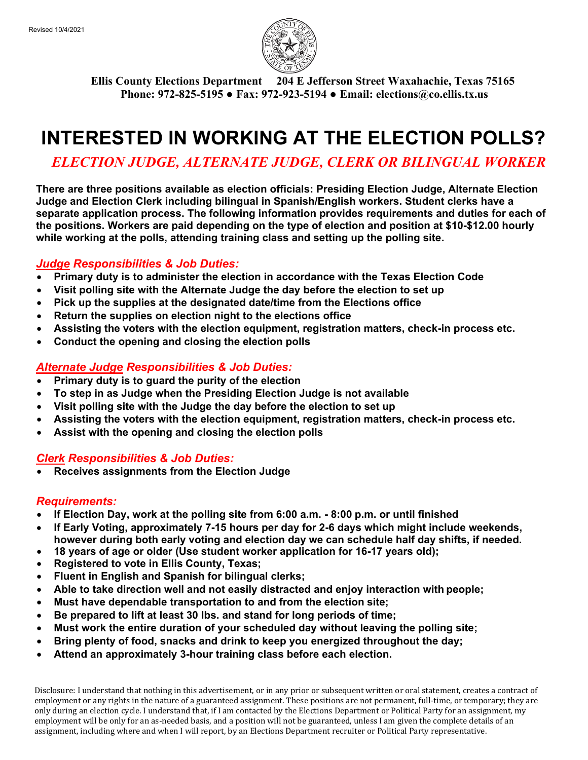

**Ellis County Elections Department 204 E Jefferson Street Waxahachie, Texas 75165 Phone: 972-825-5195 ● Fax: 972-923-5194 ● Email: elections@co.ellis.tx.us**

# **INTERESTED IN WORKING AT THE ELECTION POLLS?**

*ELECTION JUDGE, ALTERNATE JUDGE, CLERK OR BILINGUAL WORKER*

**There are three positions available as election officials: Presiding Election Judge, Alternate Election Judge and Election Clerk including bilingual in Spanish/English workers. Student clerks have a separate application process. The following information provides requirements and duties for each of the positions. Workers are paid depending on the type of election and position at \$10-\$12.00 hourly while working at the polls, attending training class and setting up the polling site.**

# *Judge Responsibilities & Job Duties:*

- **Primary duty is to administer the election in accordance with the Texas Election Code**
- **Visit polling site with the Alternate Judge the day before the election to set up**
- **Pick up the supplies at the designated date/time from the Elections office**
- **Return the supplies on election night to the elections office**
- **Assisting the voters with the election equipment, registration matters, check-in process etc.**
- **Conduct the opening and closing the election polls**

### *Alternate Judge Responsibilities & Job Duties:*

- **Primary duty is to guard the purity of the election**
- **To step in as Judge when the Presiding Election Judge is not available**
- **Visit polling site with the Judge the day before the election to set up**
- **Assisting the voters with the election equipment, registration matters, check-in process etc.**
- **Assist with the opening and closing the election polls**

# *Clerk Responsibilities & Job Duties:*

• **Receives assignments from the Election Judge**

#### *Requirements:*

- **If Election Day, work at the polling site from 6:00 a.m. - 8:00 p.m. or until finished**
- **If Early Voting, approximately 7-15 hours per day for 2-6 days which might include weekends, however during both early voting and election day we can schedule half day shifts, if needed.**
- **18 years of age or older (Use student worker application for 16-17 years old);**
- **Registered to vote in Ellis County, Texas;**
- **Fluent in English and Spanish for bilingual clerks;**
- **Able to take direction well and not easily distracted and enjoy interaction with people;**
- **Must have dependable transportation to and from the election site;**
- **Be prepared to lift at least 30 lbs. and stand for long periods of time;**
- **Must work the entire duration of your scheduled day without leaving the polling site;**
- **Bring plenty of food, snacks and drink to keep you energized throughout the day;**
- **Attend an approximately 3-hour training class before each election.**

Disclosure: I understand that nothing in this advertisement, or in any prior or subsequent written or oral statement, creates a contract of employment or any rights in the nature of a guaranteed assignment. These positions are not permanent, full-time, or temporary; they are only during an election cycle. I understand that, if I am contacted by the Elections Department or Political Party for an assignment, my employment will be only for an as-needed basis, and a position will not be guaranteed, unless I am given the complete details of an assignment, including where and when I will report, by an Elections Department recruiter or Political Party representative.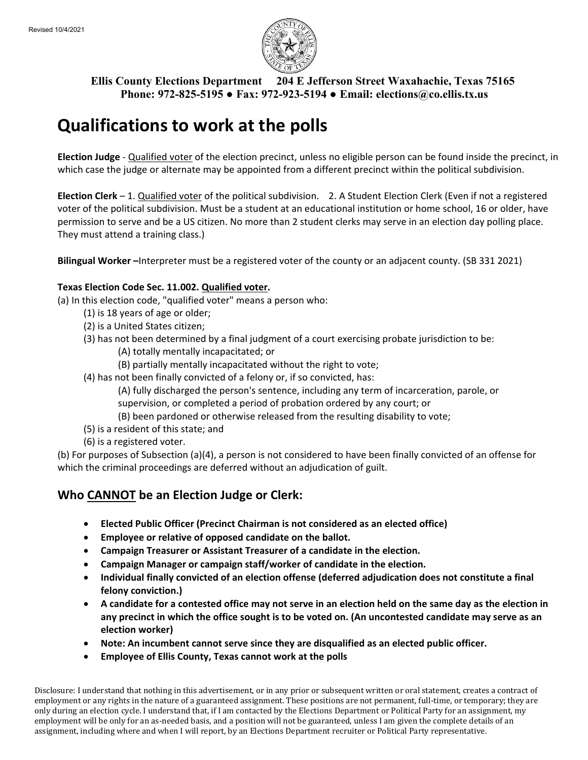

**Ellis County Elections Department 204 E Jefferson Street Waxahachie, Texas 75165 Phone: 972-825-5195 ● Fax: 972-923-5194 ● Email: elections@co.ellis.tx.us**

# **Qualifications to work at the polls**

**Election Judge** - Qualified voter of the election precinct, unless no eligible person can be found inside the precinct, in which case the judge or alternate may be appointed from a different precinct within the political subdivision.

**Election Clerk** – 1. Qualified voter of the political subdivision. 2. A Student Election Clerk (Even if not a registered voter of the political subdivision. Must be a student at an educational institution or home school, 16 or older, have permission to serve and be a US citizen. No more than 2 student clerks may serve in an election day polling place. They must attend a training class.)

**Bilingual Worker –**Interpreter must be a registered voter of the county or an adjacent county. (SB 331 2021)

#### **Texas Election Code Sec. 11.002. Qualified voter.**

(a) In this election code, "qualified voter" means a person who:

- (1) is 18 years of age or older;
- (2) is a United States citizen;
- (3) has not been determined by a final judgment of a court exercising probate jurisdiction to be:
	- (A) totally mentally incapacitated; or
	- (B) partially mentally incapacitated without the right to vote;
- (4) has not been finally convicted of a felony or, if so convicted, has:

(A) fully discharged the person's sentence, including any term of incarceration, parole, or supervision, or completed a period of probation ordered by any court; or

- (B) been pardoned or otherwise released from the resulting disability to vote;
- (5) is a resident of this state; and
- (6) is a registered voter.

(b) For purposes of Subsection (a)(4), a person is not considered to have been finally convicted of an offense for which the criminal proceedings are deferred without an adjudication of guilt.

# **Who CANNOT be an Election Judge or Clerk:**

- **Elected Public Officer (Precinct Chairman is not considered as an elected office)**
- **Employee or relative of opposed candidate on the ballot.**
- **Campaign Treasurer or Assistant Treasurer of a candidate in the election.**
- **Campaign Manager or campaign staff/worker of candidate in the election.**
- **Individual finally convicted of an election offense (deferred adjudication does not constitute a final felony conviction.)**
- **A candidate for a contested office may not serve in an election held on the same day as the election in any precinct in which the office sought is to be voted on. (An uncontested candidate may serve as an election worker)**
- **Note: An incumbent cannot serve since they are disqualified as an elected public officer.**
- **Employee of Ellis County, Texas cannot work at the polls**

Disclosure: I understand that nothing in this advertisement, or in any prior or subsequent written or oral statement, creates a contract of employment or any rights in the nature of a guaranteed assignment. These positions are not permanent, full-time, or temporary; they are only during an election cycle. I understand that, if I am contacted by the Elections Department or Political Party for an assignment, my employment will be only for an as-needed basis, and a position will not be guaranteed, unless I am given the complete details of an assignment, including where and when I will report, by an Elections Department recruiter or Political Party representative.